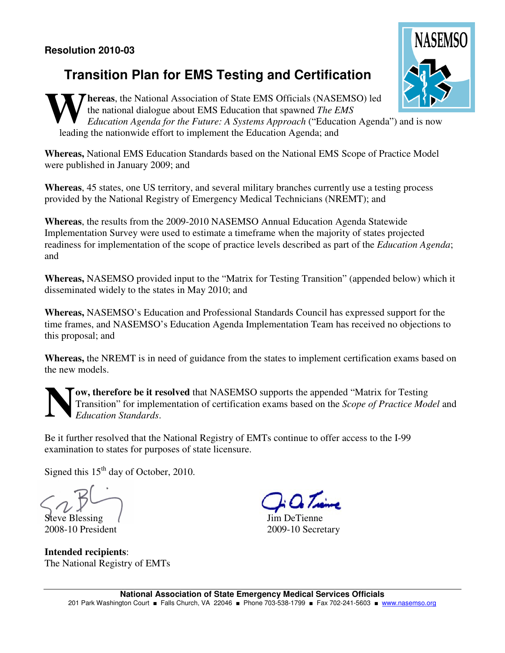## **Transition Plan for EMS Testing and Certification**

**Thereas**, the National Association of State EMS Officials (NASEMSO) led the national dialogue about EMS Education that spawned *The EMS Education Agenda for the Future: A Systems Approach* ("Education Agenda") and is now leading the nationwide effort to implement the Education Agenda; and **W**

**Whereas,** National EMS Education Standards based on the National EMS Scope of Practice Model were published in January 2009; and

**Whereas**, 45 states, one US territory, and several military branches currently use a testing process provided by the National Registry of Emergency Medical Technicians (NREMT); and

**Whereas**, the results from the 2009-2010 NASEMSO Annual Education Agenda Statewide Implementation Survey were used to estimate a timeframe when the majority of states projected readiness for implementation of the scope of practice levels described as part of the *Education Agenda*; and

**Whereas,** NASEMSO provided input to the "Matrix for Testing Transition" (appended below) which it disseminated widely to the states in May 2010; and

**Whereas,** NASEMSO's Education and Professional Standards Council has expressed support for the time frames, and NASEMSO's Education Agenda Implementation Team has received no objections to this proposal; and

**Whereas,** the NREMT is in need of guidance from the states to implement certification exams based on the new models.

**ow, therefore be it resolved** that NASEMSO supports the appended "Matrix for Testing Transition" for implementation of certification exams based on the *Scope of Practice Model* and *Education Standards*. **N**

Be it further resolved that the National Registry of EMTs continue to offer access to the I-99 examination to states for purposes of state licensure.

Signed this 15<sup>th</sup> day of October, 2010.

Steve Blessing 2008-10 President

**Intended recipients**: The National Registry of EMTs

Jim DeTienne 2009-10 Secretary